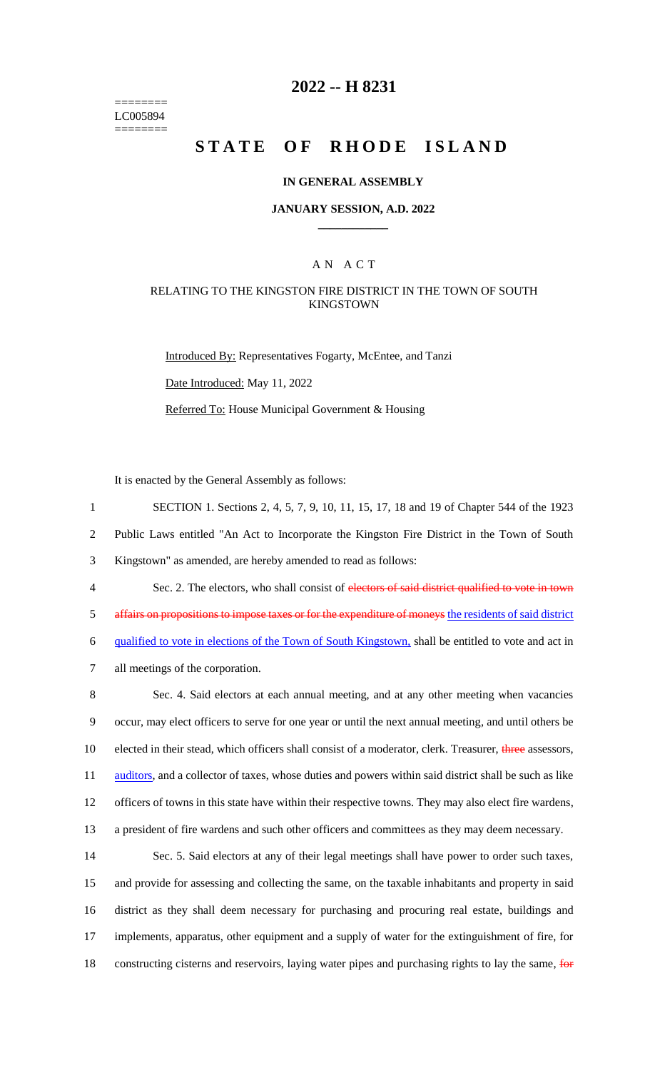======== LC005894 ========

# **2022 -- H 8231**

# **STATE OF RHODE ISLAND**

#### **IN GENERAL ASSEMBLY**

#### **JANUARY SESSION, A.D. 2022 \_\_\_\_\_\_\_\_\_\_\_\_**

### A N A C T

### RELATING TO THE KINGSTON FIRE DISTRICT IN THE TOWN OF SOUTH KINGSTOWN

Introduced By: Representatives Fogarty, McEntee, and Tanzi Date Introduced: May 11, 2022 Referred To: House Municipal Government & Housing

It is enacted by the General Assembly as follows:

 SECTION 1. Sections 2, 4, 5, 7, 9, 10, 11, 15, 17, 18 and 19 of Chapter 544 of the 1923 Public Laws entitled "An Act to Incorporate the Kingston Fire District in the Town of South Kingstown" as amended, are hereby amended to read as follows: 4 Sec. 2. The electors, who shall consist of electors of said district qualified to vote in town affairs on propositions to impose taxes or for the expenditure of moneys the residents of said district qualified to vote in elections of the Town of South Kingstown, shall be entitled to vote and act in

7 all meetings of the corporation.

 Sec. 4. Said electors at each annual meeting, and at any other meeting when vacancies occur, may elect officers to serve for one year or until the next annual meeting, and until others be 10 elected in their stead, which officers shall consist of a moderator, clerk. Treasurer, three assessors, 11 auditors, and a collector of taxes, whose duties and powers within said district shall be such as like officers of towns in this state have within their respective towns. They may also elect fire wardens, a president of fire wardens and such other officers and committees as they may deem necessary.

 Sec. 5. Said electors at any of their legal meetings shall have power to order such taxes, and provide for assessing and collecting the same, on the taxable inhabitants and property in said district as they shall deem necessary for purchasing and procuring real estate, buildings and implements, apparatus, other equipment and a supply of water for the extinguishment of fire, for 18 constructing cisterns and reservoirs, laying water pipes and purchasing rights to lay the same, for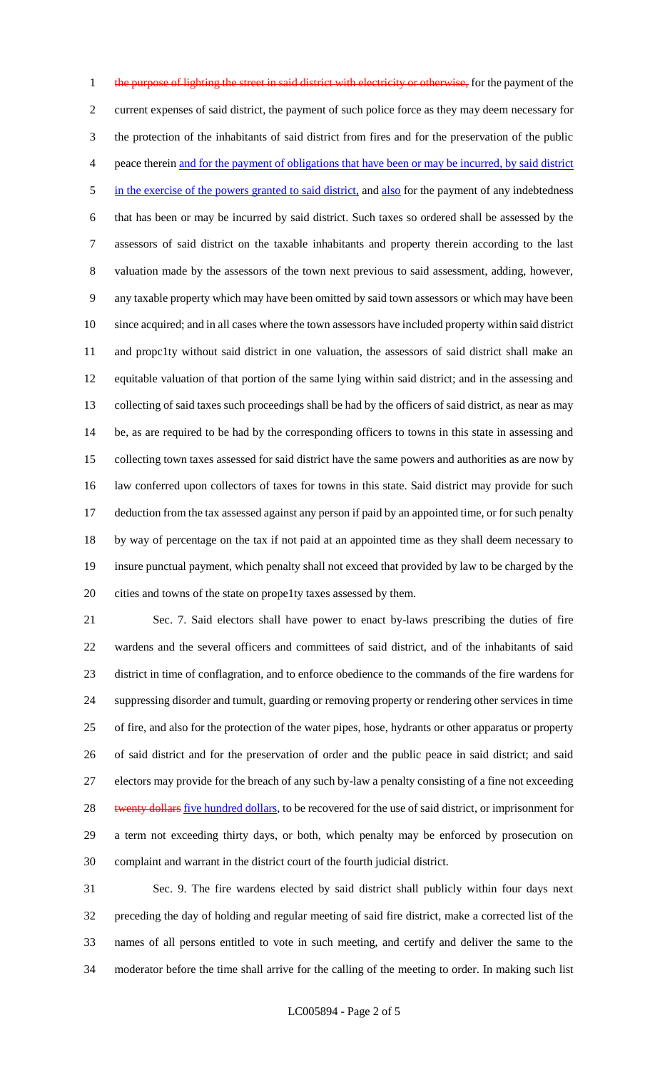1 the purpose of lighting the street in said district with electricity or otherwise, for the payment of the current expenses of said district, the payment of such police force as they may deem necessary for the protection of the inhabitants of said district from fires and for the preservation of the public peace therein and for the payment of obligations that have been or may be incurred, by said district 5 in the exercise of the powers granted to said district, and also for the payment of any indebtedness that has been or may be incurred by said district. Such taxes so ordered shall be assessed by the assessors of said district on the taxable inhabitants and property therein according to the last valuation made by the assessors of the town next previous to said assessment, adding, however, any taxable property which may have been omitted by said town assessors or which may have been since acquired; and in all cases where the town assessors have included property within said district and propc1ty without said district in one valuation, the assessors of said district shall make an equitable valuation of that portion of the same lying within said district; and in the assessing and collecting of said taxes such proceedings shall be had by the officers of said district, as near as may be, as are required to be had by the corresponding officers to towns in this state in assessing and collecting town taxes assessed for said district have the same powers and authorities as are now by law conferred upon collectors of taxes for towns in this state. Said district may provide for such deduction from the tax assessed against any person if paid by an appointed time, or for such penalty by way of percentage on the tax if not paid at an appointed time as they shall deem necessary to insure punctual payment, which penalty shall not exceed that provided by law to be charged by the cities and towns of the state on prope1ty taxes assessed by them.

 Sec. 7. Said electors shall have power to enact by-laws prescribing the duties of fire wardens and the several officers and committees of said district, and of the inhabitants of said district in time of conflagration, and to enforce obedience to the commands of the fire wardens for suppressing disorder and tumult, guarding or removing property or rendering other services in time of fire, and also for the protection of the water pipes, hose, hydrants or other apparatus or property of said district and for the preservation of order and the public peace in said district; and said electors may provide for the breach of any such by-law a penalty consisting of a fine not exceeding 28 twenty dollars five hundred dollars, to be recovered for the use of said district, or imprisonment for a term not exceeding thirty days, or both, which penalty may be enforced by prosecution on complaint and warrant in the district court of the fourth judicial district.

 Sec. 9. The fire wardens elected by said district shall publicly within four days next preceding the day of holding and regular meeting of said fire district, make a corrected list of the names of all persons entitled to vote in such meeting, and certify and deliver the same to the moderator before the time shall arrive for the calling of the meeting to order. In making such list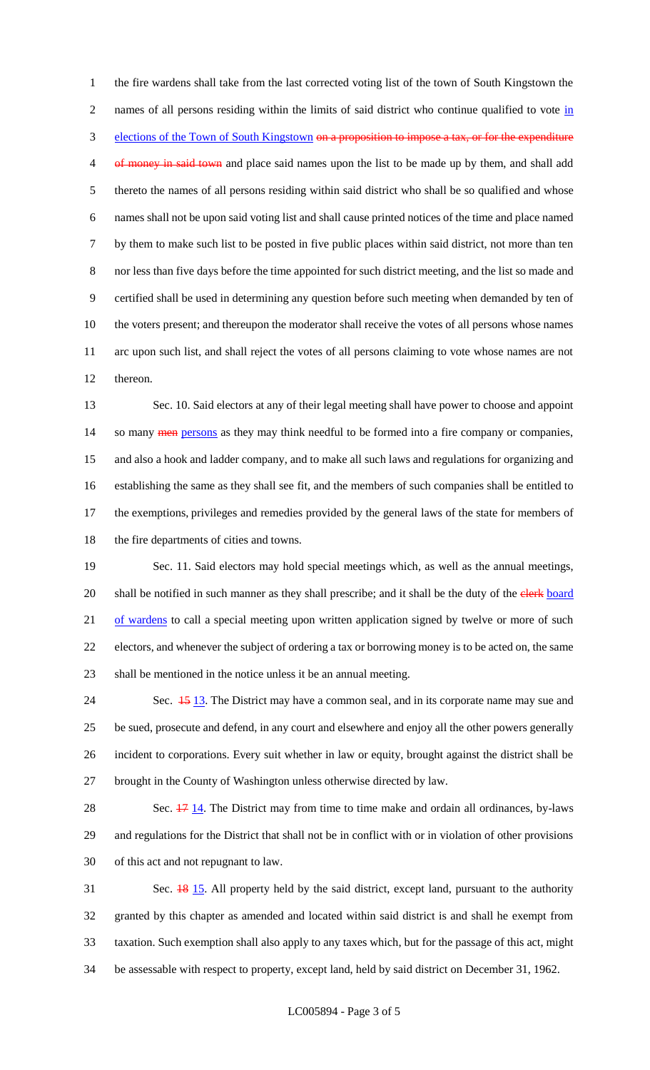the fire wardens shall take from the last corrected voting list of the town of South Kingstown the 2 names of all persons residing within the limits of said district who continue qualified to vote in 3 elections of the Town of South Kingstown on a proposition to impose a tax, or for the expenditure 4 of money in said town and place said names upon the list to be made up by them, and shall add thereto the names of all persons residing within said district who shall be so qualified and whose names shall not be upon said voting list and shall cause printed notices of the time and place named by them to make such list to be posted in five public places within said district, not more than ten nor less than five days before the time appointed for such district meeting, and the list so made and certified shall be used in determining any question before such meeting when demanded by ten of the voters present; and thereupon the moderator shall receive the votes of all persons whose names arc upon such list, and shall reject the votes of all persons claiming to vote whose names are not thereon.

 Sec. 10. Said electors at any of their legal meeting shall have power to choose and appoint 14 so many **men** persons as they may think needful to be formed into a fire company or companies, and also a hook and ladder company, and to make all such laws and regulations for organizing and establishing the same as they shall see fit, and the members of such companies shall be entitled to the exemptions, privileges and remedies provided by the general laws of the state for members of 18 the fire departments of cities and towns.

 Sec. 11. Said electors may hold special meetings which, as well as the annual meetings, 20 shall be notified in such manner as they shall prescribe; and it shall be the duty of the clerk board 21 of wardens to call a special meeting upon written application signed by twelve or more of such electors, and whenever the subject of ordering a tax or borrowing money is to be acted on, the same shall be mentioned in the notice unless it be an annual meeting.

24 Sec.  $\frac{15}{13}$ . The District may have a common seal, and in its corporate name may sue and be sued, prosecute and defend, in any court and elsewhere and enjoy all the other powers generally incident to corporations. Every suit whether in law or equity, brought against the district shall be brought in the County of Washington unless otherwise directed by law.

28 Sec.  $\frac{17}{14}$ . The District may from time to time make and ordain all ordinances, by-laws and regulations for the District that shall not be in conflict with or in violation of other provisions of this act and not repugnant to law.

 Sec. 18 15. All property held by the said district, except land, pursuant to the authority granted by this chapter as amended and located within said district is and shall he exempt from taxation. Such exemption shall also apply to any taxes which, but for the passage of this act, might be assessable with respect to property, except land, held by said district on December 31, 1962.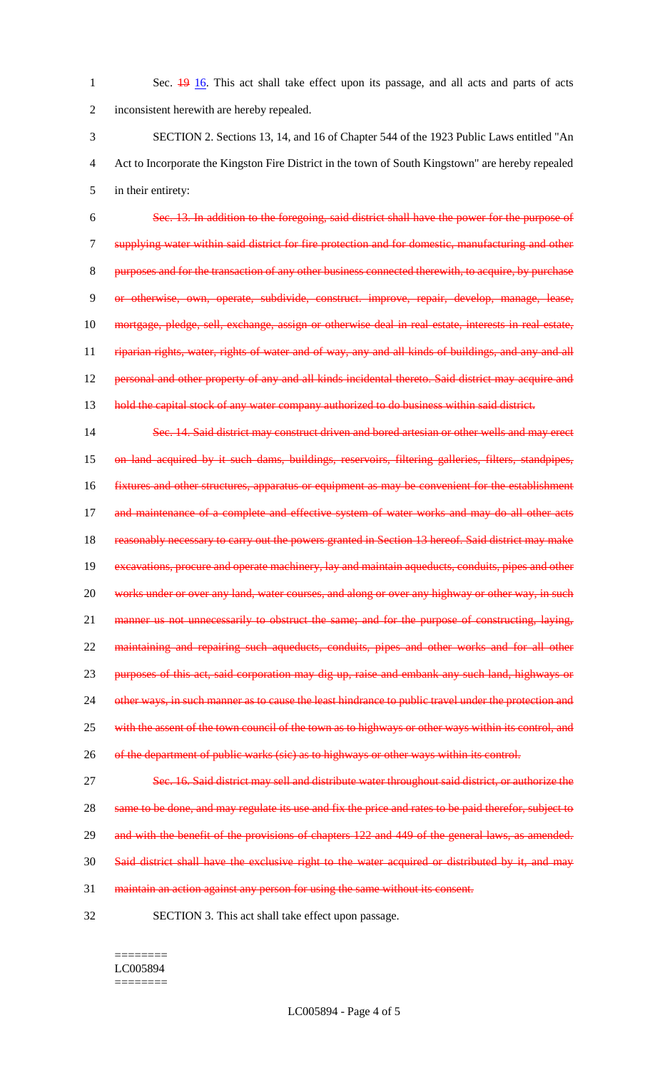1 Sec. 19 16. This act shall take effect upon its passage, and all acts and parts of acts 2 inconsistent herewith are hereby repealed.

3 SECTION 2. Sections 13, 14, and 16 of Chapter 544 of the 1923 Public Laws entitled "An 4 Act to Incorporate the Kingston Fire District in the town of South Kingstown" are hereby repealed 5 in their entirety:

 Sec. 13. In addition to the foregoing, said district shall have the power for the purpose of supplying water within said district for fire protection and for domestic, manufacturing and other purposes and for the transaction of any other business connected therewith, to acquire, by purchase or otherwise, own, operate, subdivide, construct. improve, repair, develop, manage, lease, mortgage, pledge, sell, exchange, assign or otherwise deal in real estate, interests in real estate, 11 riparian rights, water, rights of water and of way, any and all kinds of buildings, and any and all 12 personal and other property of any and all kinds incidental thereto. Said district may acquire and 13 hold the capital stock of any water company authorized to do business within said district.

14 Sec. 14. Said district may construct driven and bored artesian or other wells and may erect 15 on land acquired by it such dams, buildings, reservoirs, filtering galleries, filters, standpipes, 16 fixtures and other structures, apparatus or equipment as may be convenient for the establishment 17 and maintenance of a complete and effective system of water works and may do all other acts 18 reasonably necessary to carry out the powers granted in Section 13 hereof. Said district may make 19 excavations, procure and operate machinery, lay and maintain aqueducts, conduits, pipes and other 20 works under or over any land, water courses, and along or over any highway or other way, in such 21 manner us not unnecessarily to obstruct the same; and for the purpose of constructing, laying, 22 maintaining and repairing such aqueducts, conduits, pipes and other works and for all other 23 purposes of this act, said corporation may dig up, raise and embank any such land, highways or 24 other ways, in such manner as to cause the least hindrance to public travel under the protection and 25 with the assent of the town council of the town as to highways or other ways within its control, and 26 of the department of public warks (sic) as to highways or other ways within its control.

27 Sec. 16. Said district may sell and distribute water throughout said district, or authorize the 28 same to be done, and may regulate its use and fix the price and rates to be paid therefor, subject to 29 and with the benefit of the provisions of chapters 122 and 449 of the general laws, as amended. 30 Said district shall have the exclusive right to the water acquired or distributed by it, and may

31 maintain an action against any person for using the same without its consent.

32 SECTION 3. This act shall take effect upon passage.

#### ======== LC005894 ========